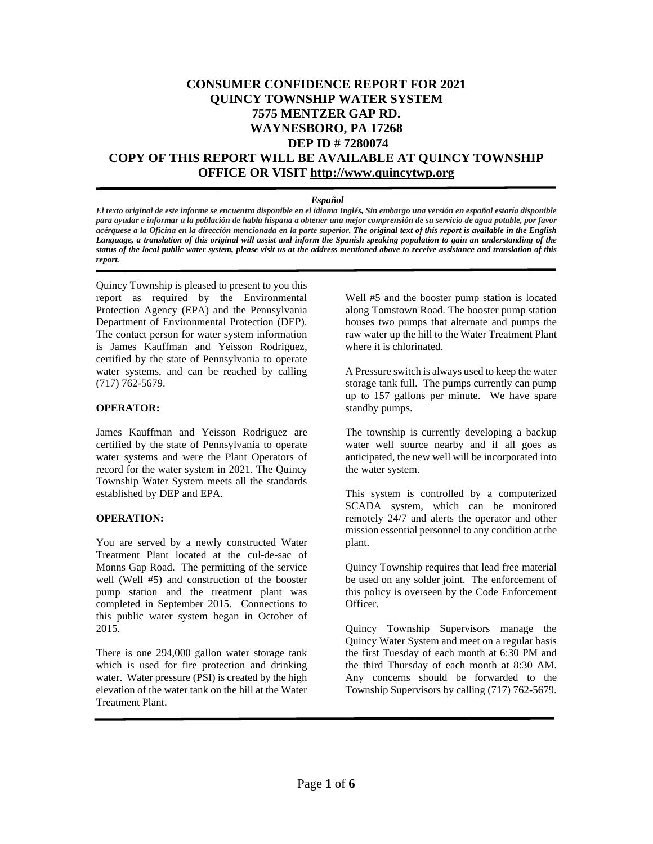# **CONSUMER CONFIDENCE REPORT FOR 2021 QUINCY TOWNSHIP WATER SYSTEM 7575 MENTZER GAP RD. WAYNESBORO, PA 17268 DEP ID # 7280074 COPY OF THIS REPORT WILL BE AVAILABLE AT QUINCY TOWNSHIP OFFICE OR VISIT [http://www.quincytwp.org](http://www.quincytwp.org/)**

### *Español*

El texto original de este informe se encuentra disponible en el idioma Inglés, Sin embargo una versión en español estaría disponible para ayudar e informar a la población de habla hispana a obtener una mejor comprensión de su servicio de agua potable, por favor acérquese a la Oficina en la dirección mencionada en la parte superior. The original text of this report is available in the English Language, a translation of this original will assist and inform the Spanish speaking population to gain an understanding of the status of the local public water system, please visit us at the address mentioned above to receive assistance and translation of this *report.*

Quincy Township is pleased to present to you this report as required by the Environmental Protection Agency (EPA) and the Pennsylvania Department of Environmental Protection (DEP). The contact person for water system information is James Kauffman and Yeisson Rodriguez, certified by the state of Pennsylvania to operate water systems, and can be reached by calling (717) 762-5679.

### **OPERATOR:**

James Kauffman and Yeisson Rodriguez are certified by the state of Pennsylvania to operate water systems and were the Plant Operators of record for the water system in 2021. The Quincy Township Water System meets all the standards established by DEP and EPA.

### **OPERATION:**

You are served by a newly constructed Water Treatment Plant located at the cul-de-sac of Monns Gap Road. The permitting of the service well (Well #5) and construction of the booster pump station and the treatment plant was completed in September 2015. Connections to this public water system began in October of 2015.

There is one 294,000 gallon water storage tank which is used for fire protection and drinking water. Water pressure (PSI) is created by the high elevation of the water tank on the hill at the Water Treatment Plant.

Well #5 and the booster pump station is located along Tomstown Road. The booster pump station houses two pumps that alternate and pumps the raw water up the hill to the Water Treatment Plant where it is chlorinated.

A Pressure switch is always used to keep the water storage tank full. The pumps currently can pump up to 157 gallons per minute. We have spare standby pumps.

The township is currently developing a backup water well source nearby and if all goes as anticipated, the new well will be incorporated into the water system.

This system is controlled by a computerized SCADA system, which can be monitored remotely 24/7 and alerts the operator and other mission essential personnel to any condition at the plant.

Quincy Township requires that lead free material be used on any solder joint. The enforcement of this policy is overseen by the Code Enforcement Officer.

Quincy Township Supervisors manage the Quincy Water System and meet on a regular basis the first Tuesday of each month at 6:30 PM and the third Thursday of each month at 8:30 AM. Any concerns should be forwarded to the Township Supervisors by calling (717) 762-5679.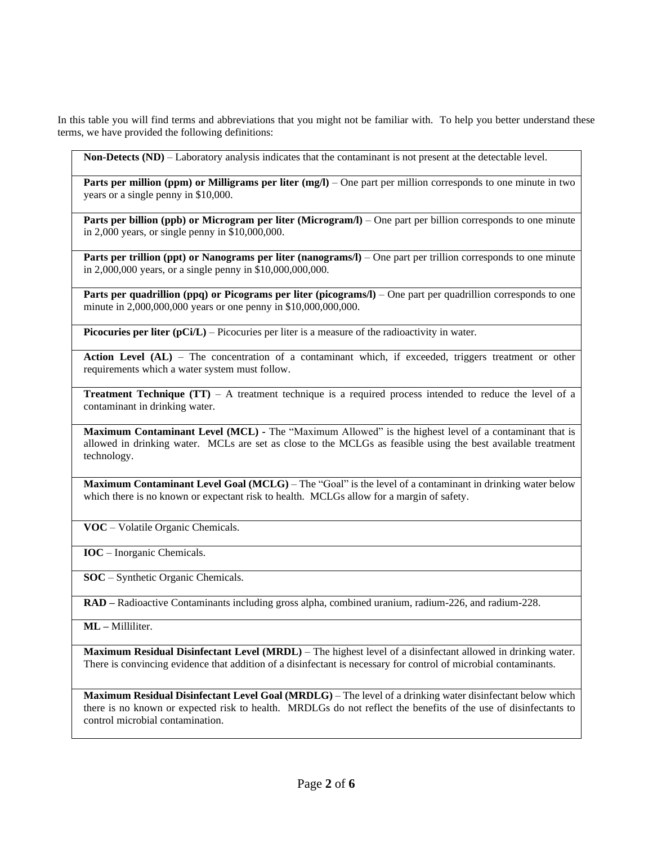In this table you will find terms and abbreviations that you might not be familiar with. To help you better understand these terms, we have provided the following definitions:

**Non-Detects (ND)** – Laboratory analysis indicates that the contaminant is not present at the detectable level.

**Parts per million (ppm) or Milligrams per liter (mg/l)** – One part per million corresponds to one minute in two years or a single penny in \$10,000.

**Parts per billion (ppb) or Microgram per liter (Microgram/l)** – One part per billion corresponds to one minute in 2,000 years, or single penny in \$10,000,000.

**Parts per trillion (ppt) or Nanograms per liter (nanograms/l)** – One part per trillion corresponds to one minute in 2,000,000 years, or a single penny in \$10,000,000,000.

**Parts per quadrillion (ppq) or Picograms per liter (picograms/l)** – One part per quadrillion corresponds to one minute in 2,000,000,000 years or one penny in \$10,000,000,000.

**Picocuries per liter (pCi/L)** – Picocuries per liter is a measure of the radioactivity in water.

**Action Level (AL)** – The concentration of a contaminant which, if exceeded, triggers treatment or other requirements which a water system must follow.

**Treatment Technique (TT)** – A treatment technique is a required process intended to reduce the level of a contaminant in drinking water.

**Maximum Contaminant Level (MCL) -** The "Maximum Allowed" is the highest level of a contaminant that is allowed in drinking water. MCLs are set as close to the MCLGs as feasible using the best available treatment technology.

**Maximum Contaminant Level Goal (MCLG)** – The "Goal" is the level of a contaminant in drinking water below which there is no known or expectant risk to health. MCLGs allow for a margin of safety.

**VOC** – Volatile Organic Chemicals.

**IOC** – Inorganic Chemicals.

**SOC** – Synthetic Organic Chemicals.

**RAD –** Radioactive Contaminants including gross alpha, combined uranium, radium-226, and radium-228.

**ML –** Milliliter.

**Maximum Residual Disinfectant Level (MRDL)** – The highest level of a disinfectant allowed in drinking water. There is convincing evidence that addition of a disinfectant is necessary for control of microbial contaminants.

**Maximum Residual Disinfectant Level Goal (MRDLG)** – The level of a drinking water disinfectant below which there is no known or expected risk to health. MRDLGs do not reflect the benefits of the use of disinfectants to control microbial contamination.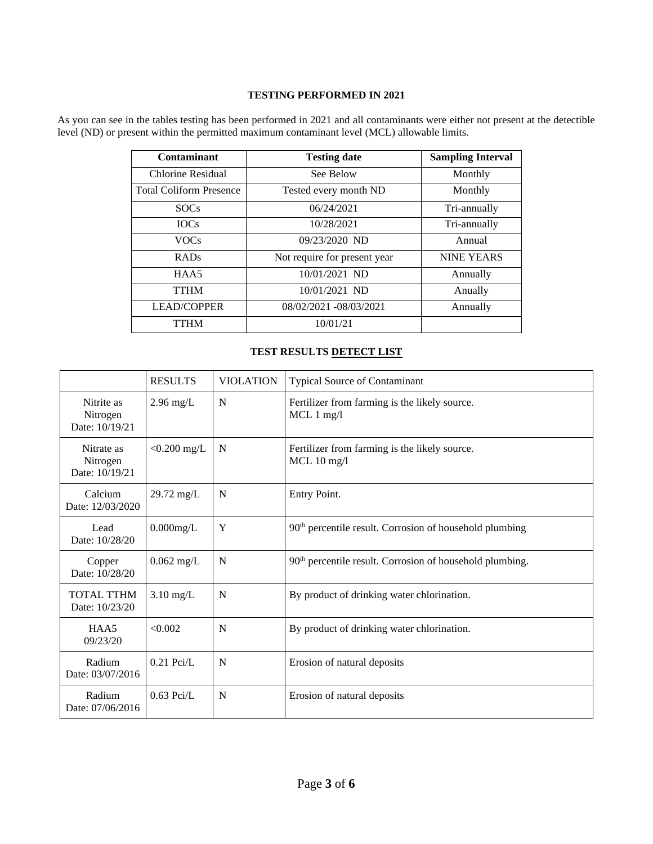## **TESTING PERFORMED IN 2021**

As you can see in the tables testing has been performed in 2021 and all contaminants were either not present at the detectible level (ND) or present within the permitted maximum contaminant level (MCL) allowable limits.

| Contaminant                    | <b>Testing date</b>          | <b>Sampling Interval</b> |
|--------------------------------|------------------------------|--------------------------|
| Chlorine Residual              | See Below                    | Monthly                  |
| <b>Total Coliform Presence</b> | Tested every month ND        | Monthly                  |
| <b>SOCs</b>                    | 06/24/2021                   | Tri-annually             |
| <b>IOCs</b>                    | 10/28/2021                   | Tri-annually             |
| <b>VOCs</b>                    | 09/23/2020 ND                | Annual                   |
| <b>RADs</b>                    | Not require for present year | <b>NINE YEARS</b>        |
| HAA5                           | 10/01/2021 ND                | Annually                 |
| <b>TTHM</b>                    | 10/01/2021 ND                | Anually                  |
| <b>LEAD/COPPER</b>             | 08/02/2021 -08/03/2021       | Annually                 |
| <b>TTHM</b>                    | 10/01/21                     |                          |

## **TEST RESULTS DETECT LIST**

|                                          | <b>RESULTS</b>       | <b>VIOLATION</b> | Typical Source of Contaminant                                        |
|------------------------------------------|----------------------|------------------|----------------------------------------------------------------------|
| Nitrite as<br>Nitrogen<br>Date: 10/19/21 | $2.96$ mg/L          | N                | Fertilizer from farming is the likely source.<br>$MCL$ 1 mg/l        |
| Nitrate as<br>Nitrogen<br>Date: 10/19/21 | $< 0.200$ mg/L       | N                | Fertilizer from farming is the likely source.<br>$MCL$ 10 mg/l       |
| Calcium<br>Date: 12/03/2020              | $29.72 \text{ mg/L}$ | N                | Entry Point.                                                         |
| Lead<br>Date: 10/28/20                   | $0.000$ mg/L         | Y                | 90 <sup>th</sup> percentile result. Corrosion of household plumbing  |
| Copper<br>Date: 10/28/20                 | $0.062$ mg/L         | N                | 90 <sup>th</sup> percentile result. Corrosion of household plumbing. |
| <b>TOTAL TTHM</b><br>Date: 10/23/20      | $3.10$ mg/L          | N                | By product of drinking water chlorination.                           |
| HAA5<br>09/23/20                         | <0.002               | N                | By product of drinking water chlorination.                           |
| Radium<br>Date: 03/07/2016               | $0.21$ Pci/L         | N                | Erosion of natural deposits                                          |
| Radium<br>Date: 07/06/2016               | $0.63$ Pci/L         | N                | Erosion of natural deposits                                          |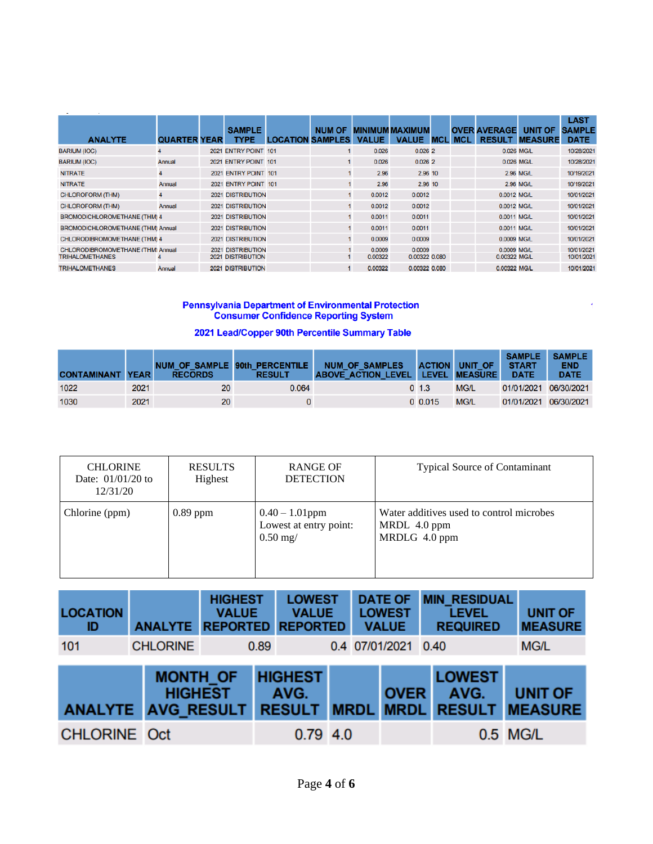| <b>ANALYTE</b>                           | <b>QUARTER YEAR</b> | <b>SAMPLE</b><br><b>TYPE</b> | <b>LOCATION SAMPLES</b> | <b>NUM OF</b> | <b>VALUE</b> | <b>MINIMUM MAXIMUM</b><br><b>VALUE</b> | <b>MCI</b> | <b>MCI</b> | <b>OVER AVERAGE</b><br><b>RESULT</b> | <b>UNIT OF</b><br><b>MEASURE</b> | <b>LAST</b><br><b>SAMPLE</b><br><b>DATE</b> |
|------------------------------------------|---------------------|------------------------------|-------------------------|---------------|--------------|----------------------------------------|------------|------------|--------------------------------------|----------------------------------|---------------------------------------------|
| <b>BARIUM (IOC)</b>                      |                     | 2021 ENTRY POINT 101         |                         |               | 0.026        | 0.0262                                 |            |            |                                      | 0.026 MG/L                       | 10/28/2021                                  |
| <b>BARIUM (IOC)</b>                      | Annual              | 2021 ENTRY POINT 101         |                         |               | 0.026        | 0.0262                                 |            |            |                                      | 0.026 MG/L                       | 10/28/2021                                  |
| <b>NITRATE</b>                           | 4                   | 2021 ENTRY POINT 101         |                         |               | 2.96         | 2.96 10                                |            |            |                                      | <b>2.96 MG/L</b>                 | 10/19/2021                                  |
| <b>NITRATE</b>                           | Annual              | 2021 ENTRY POINT 101         |                         |               | 2.96         | 2.96 10                                |            |            |                                      | <b>2.96 MG/L</b>                 | 10/19/2021                                  |
| <b>CHLOROFORM (THM)</b>                  | 4                   | <b>2021 DISTRIBUTION</b>     |                         | 1             | 0.0012       | 0.0012                                 |            |            | 0.0012 MG/L                          |                                  | 10/01/2021                                  |
| <b>CHLOROFORM (THM)</b>                  | Annual              | <b>2021 DISTRIBUTION</b>     |                         |               | 0.0012       | 0.0012                                 |            |            | 0.0012 MG/L                          |                                  | 10/01/2021                                  |
| <b>BROMODICHLOROMETHANE (THM) 4</b>      |                     | <b>2021 DISTRIBUTION</b>     |                         |               | 0.0011       | 0.0011                                 |            |            | 0.0011 MG/L                          |                                  | 10/01/2021                                  |
| <b>BROMODICHLOROMETHANE (THM) Annual</b> |                     | <b>2021 DISTRIBUTION</b>     |                         |               | 0.0011       | 0.0011                                 |            |            | 0.0011 MG/L                          |                                  | 10/01/2021                                  |
| CHLORODIBROMOMETHANE (THM) 4             |                     | <b>2021 DISTRIBUTION</b>     |                         |               | 0.0009       | 0.0009                                 |            |            | 0.0009 MG/L                          |                                  | 10/01/2021                                  |
| <b>CHLORODIBROMOMETHANE (THM) Annual</b> |                     | <b>2021 DISTRIBUTION</b>     |                         |               | 0.0009       | 0.0009                                 |            |            | 0.0009 MG/L                          |                                  | 10/01/2021                                  |
| <b>TRIHALOMETHANES</b>                   |                     | <b>2021 DISTRIBUTION</b>     |                         |               | 0.00322      | 0.00322 0.080                          |            |            | 0.00322 MG/L                         |                                  | 10/01/2021                                  |
| <b>TRIHALOMETHANES</b>                   | Annual              | 2021 DISTRIBUTION            |                         |               | 0.00322      | 0.00322 0.080                          |            |            | 0.00322 MG/L                         |                                  | 10/01/2021                                  |

# **Pennsylvania Department of Environmental Protection<br>Consumer Confidence Reporting System**

## 2021 Lead/Copper 90th Percentile Summary Table

| <b>CONTAMINANT YEAR</b> |      | <b>RECORDS</b> | NUM OF SAMPLE 90th PERCENTILE<br><b>RESULT</b> | <b>NUM OF SAMPLES</b><br>ABOVE ACTION LEVEL LEVEL MEASURE |            | <b>ACTION UNIT OF</b> | <b>SAMPLE</b><br><b>START</b><br><b>DATE</b> | <b>SAMPLE</b><br><b>END</b><br><b>DATE</b> |
|-------------------------|------|----------------|------------------------------------------------|-----------------------------------------------------------|------------|-----------------------|----------------------------------------------|--------------------------------------------|
| 1022                    | 2021 | 20             | 0.064                                          |                                                           | $0 \; 1.3$ | <b>MG/L</b>           | 01/01/2021 06/30/2021                        |                                            |
| 1030                    | 2021 | 20             |                                                |                                                           | 0.015      | <b>MG/L</b>           | 01/01/2021 06/30/2021                        |                                            |

 $\tilde{\mathbf{f}}$ 

| <b>CHLORINE</b><br>Date: $01/01/20$ to<br>12/31/20 | <b>RESULTS</b><br>Highest | <b>RANGE OF</b><br><b>DETECTION</b>                       | <b>Typical Source of Contaminant</b>                                      |
|----------------------------------------------------|---------------------------|-----------------------------------------------------------|---------------------------------------------------------------------------|
| Chlorine (ppm)                                     | $0.89$ ppm                | $0.40 - 1.01$ ppm<br>Lowest at entry point:<br>$0.50$ mg/ | Water additives used to control microbes<br>MRDL 4.0 ppm<br>MRDLG 4.0 ppm |

| <b>LOCATION</b><br>ID     | <b>ANALYTE</b>  | <b>HIGHEST</b><br><b>VALUE</b><br><b>REPORTED</b> | <b>LOWEST</b><br><b>VALUE</b><br><b>REPORTED</b> |             | <b>DATE OF</b><br><b>LOWEST</b><br><b>VALUE</b> | <b>MIN RESIDUAL</b><br><b>LEVEL</b><br><b>REQUIRED</b> | <b>UNIT OF</b><br><b>MEASURE</b> |
|---------------------------|-----------------|---------------------------------------------------|--------------------------------------------------|-------------|-------------------------------------------------|--------------------------------------------------------|----------------------------------|
| 101                       | <b>CHLORINE</b> |                                                   | 0.89                                             |             | 0.4 07/01/2021 0.40                             |                                                        | <b>MG/L</b>                      |
| <b>ANALYTE AVG RESULT</b> | <b>MONTH OF</b> | <b>HIGHEST</b>                                    | <b>HIGHEST</b><br>AVG.<br><b>RESULT</b>          | <b>MRDL</b> | <b>OVER</b><br><b>MRDL</b>                      | <b>LOWEST</b><br>AVG.<br><b>RESULT</b>                 | <b>UNIT OF</b><br><b>MEASURE</b> |
| <b>CHLORINE Oct</b>       |                 |                                                   | $0.79$ 4.0                                       |             |                                                 |                                                        | 0.5 MG/L                         |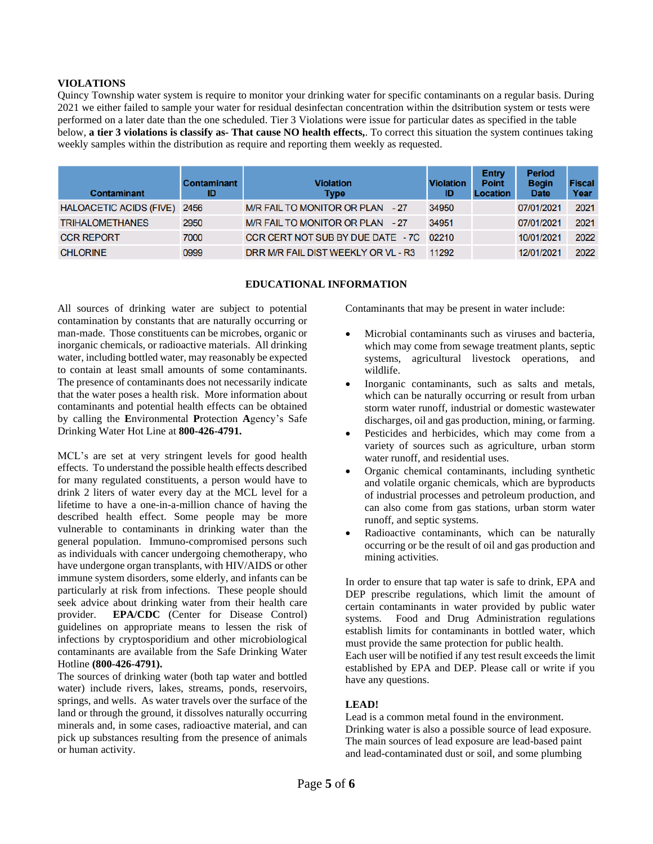### **VIOLATIONS**

Quincy Township water system is require to monitor your drinking water for specific contaminants on a regular basis. During 2021 we either failed to sample your water for residual desinfectan concentration within the dsitribution system or tests were performed on a later date than the one scheduled. Tier 3 Violations were issue for particular dates as specified in the table below, **a tier 3 violations is classify as- That cause NO health effects,**. To correct this situation the system continues taking weekly samples within the distribution as require and reporting them weekly as requested.

| <b>Contaminant</b>             | Contaminant<br>ID | <b>Violation</b><br><b>Type</b>         | <b>Violation</b><br>ID | <b>Entry</b><br><b>Point</b><br>Location | <b>Period</b><br><b>Begin</b><br><b>Date</b> | <b>Fiscal</b><br>Year |
|--------------------------------|-------------------|-----------------------------------------|------------------------|------------------------------------------|----------------------------------------------|-----------------------|
| <b>HALOACETIC ACIDS (FIVE)</b> | 2456              | M/R FAIL TO MONITOR OR PLAN - 27        | 34950                  |                                          | 07/01/2021                                   | 2021                  |
| <b>TRIHALOMETHANES</b>         | 2950              | M/R FAIL TO MONITOR OR PLAN - 27        | 34951                  |                                          | 07/01/2021                                   | 2021                  |
| <b>CCR REPORT</b>              | 7000              | CCR CERT NOT SUB BY DUE DATE - 7C 02210 |                        |                                          | 10/01/2021                                   | 2022                  |
| <b>CHLORINE</b>                | 0999              | DRR M/R FAIL DIST WEEKLY OR VL - R3     | 11292                  |                                          | 12/01/2021                                   | 2022                  |

### **EDUCATIONAL INFORMATION**

All sources of drinking water are subject to potential contamination by constants that are naturally occurring or man-made. Those constituents can be microbes, organic or inorganic chemicals, or radioactive materials. All drinking water, including bottled water, may reasonably be expected to contain at least small amounts of some contaminants. The presence of contaminants does not necessarily indicate that the water poses a health risk. More information about contaminants and potential health effects can be obtained by calling the **E**nvironmental **P**rotection **A**gency's Safe Drinking Water Hot Line at **800-426-4791.**

MCL's are set at very stringent levels for good health effects. To understand the possible health effects described for many regulated constituents, a person would have to drink 2 liters of water every day at the MCL level for a lifetime to have a one-in-a-million chance of having the described health effect. Some people may be more vulnerable to contaminants in drinking water than the general population. Immuno-compromised persons such as individuals with cancer undergoing chemotherapy, who have undergone organ transplants, with HIV/AIDS or other immune system disorders, some elderly, and infants can be particularly at risk from infections. These people should seek advice about drinking water from their health care provider. **EPA/CDC** (Center for Disease Control) guidelines on appropriate means to lessen the risk of infections by cryptosporidium and other microbiological contaminants are available from the Safe Drinking Water Hotline **(800-426-4791).**

The sources of drinking water (both tap water and bottled water) include rivers, lakes, streams, ponds, reservoirs, springs, and wells. As water travels over the surface of the land or through the ground, it dissolves naturally occurring minerals and, in some cases, radioactive material, and can pick up substances resulting from the presence of animals or human activity.

Contaminants that may be present in water include:

- Microbial contaminants such as viruses and bacteria, which may come from sewage treatment plants, septic systems, agricultural livestock operations, and wildlife.
- Inorganic contaminants, such as salts and metals, which can be naturally occurring or result from urban storm water runoff, industrial or domestic wastewater discharges, oil and gas production, mining, or farming.
- Pesticides and herbicides, which may come from a variety of sources such as agriculture, urban storm water runoff, and residential uses.
- Organic chemical contaminants, including synthetic and volatile organic chemicals, which are byproducts of industrial processes and petroleum production, and can also come from gas stations, urban storm water runoff, and septic systems.
- Radioactive contaminants, which can be naturally occurring or be the result of oil and gas production and mining activities.

In order to ensure that tap water is safe to drink, EPA and DEP prescribe regulations, which limit the amount of certain contaminants in water provided by public water systems. Food and Drug Administration regulations establish limits for contaminants in bottled water, which must provide the same protection for public health.

Each user will be notified if any test result exceeds the limit established by EPA and DEP. Please call or write if you have any questions.

## **LEAD!**

Lead is a common metal found in the environment. Drinking water is also a possible source of lead exposure. The main sources of lead exposure are lead-based paint and lead-contaminated dust or soil, and some plumbing